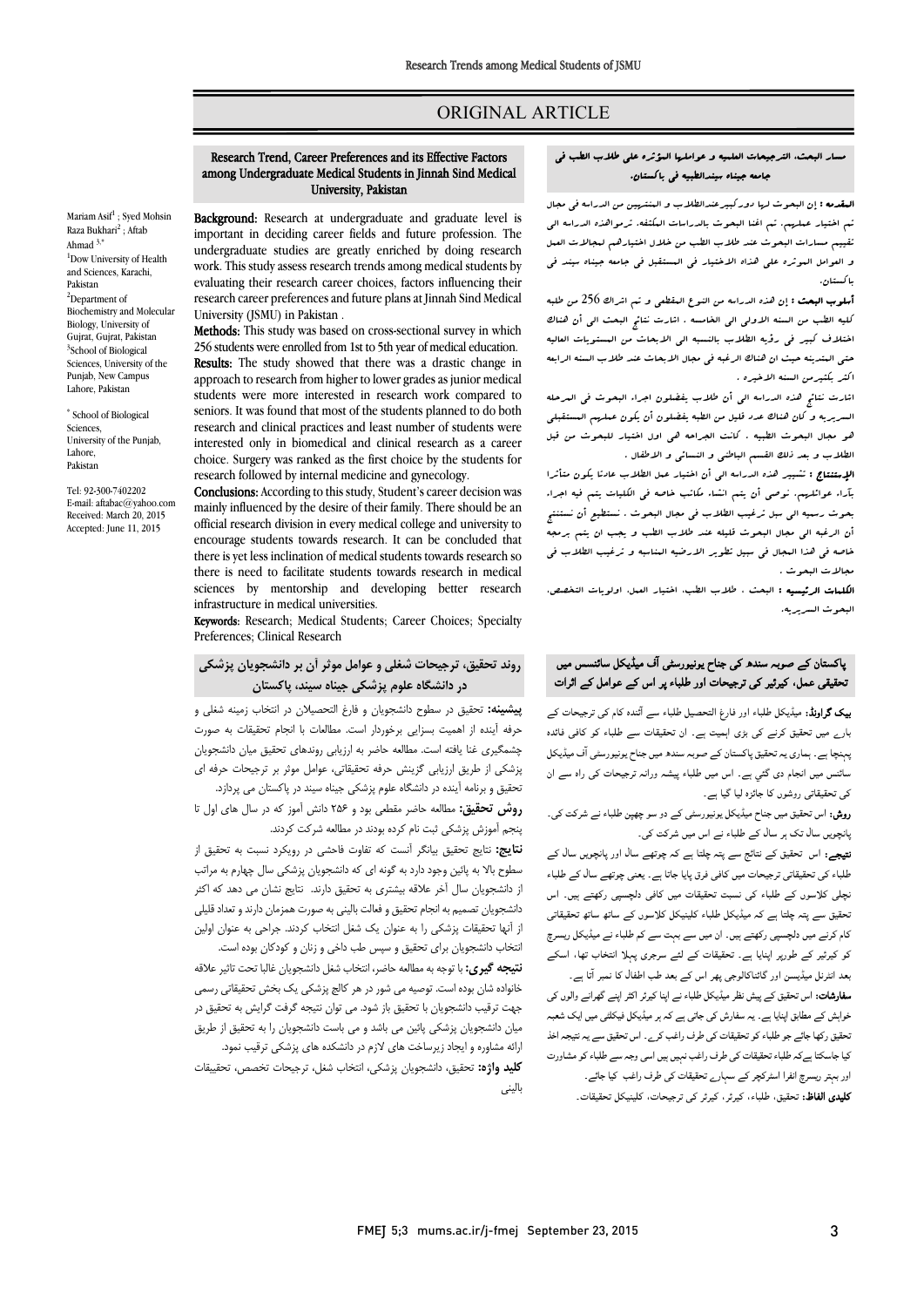# ORIGINAL ARTICLE

# Research Trend, Career Preferences and its Effective Factors among Undergraduate Medical Students in Jinnah Sind Medical University, Pakistan

Ī  $\overline{a}$ 

Mariam Asif<sup>1</sup>; Syed Mohsin Raza Bukhari<sup>2</sup>; Aftab Ahmad 3,\* <sup>1</sup>Dow University of Health and Sciences, Karachi, Pakistan <sup>2</sup>Department of Biochemistry and Molecular Biology, University of Gujrat, Gujrat, Pakistan 3 School of Biological Sciences, University of the Punjab, New Campus Lahore, Pakistan

\* School of Biological Sciences, University of the Punjab, Lahore, Pakistan

Tel: 92-300-7402202 E-mail: aftabac@yahoo.com Received: March 20, 2015 Accepted: June 11, 2015

Background: Research at undergraduate and graduate level is important in deciding career fields and future profession. The undergraduate studies are greatly enriched by doing research<br>work. This study assess research trends among medical students by evaluating their research career choices, factors influencing their research career preferences and future plans at Jinnah Sind Medical undergraduate studies are greatly enriched by doing research University (JSMU) in Pakistan .

**Methods:** This study was based on cross-sectional survey in which 256 students were enrolled from 1st to 5th year of medical education. **RESUITS:** The study showed that there was a drastic change in<br>approach to research from higher to lower grades as junior medical students were more interested in research work compared to seniors. It was found that most of the students planned to do both interested only in biomedical and clinical research as a career choice. Surgery was ranked as the first choice by the students for Results: The study showed that there was a drastic change in research and clinical practices and least number of students were research followed by internal medicine and gynecology.

researcn ionowed by internal medicine and gynecology.<br>**Conclusions:** According to this study, Student's career decision was mainly influenced by the desire of their family. There should be an official research division in every medical college and university to there is yet less inclination of medical students towards research so there is need to facilitate students towards research in medical sciences by mentorship and developing better research<br>infractructure in modical universities encourage students towards research. It can be concluded that infrastructure in medical universities.

Keywords: Research; Medical Students; Career Choices; Specialty Preferences; Clinical Research

# روند تحقیق، ترجیحات شغلی و عوامل موثر آن بر دانشجویان پزشکی در دانشگاه علوم پزشکی جیناه سیند، پاکستان

 پیشینه: تحقیق در سطوح دانشجویان و فارغ التحصیلان در انتخاب زمینه شغلی و حرفه آینده از اهمیت بسزایی برخوردار است. مطالعات با انجام تحقیقات به صورت چشمگیري غنا یافته است. مطالعه حاضر به ارزیابی روندهاي تحقیق میان دانشجویان پزشکی از طریق ارزیابی گزینش حرفه تحقیقاتی، عوامل موثر بر ترجیحات حرفه اي مانتین و بردهه اینته در دانشان حوم پرسانی جینه سیند در پاکستان می پردازد.<br>**روش تحقیق: م**طالعه حاضر مقطعی بود و ۲۵۶ دانش آموز که در سال های اول تا پنجم آموزش پزشکی ثبت نام کرده بودند در مطالعه شرکت کردند. تحقیق و برنامه آینده در دانشگاه علوم پزشکی جیناه سیند در پاکستان می پردازد.

 نتایج: نتایج تحقیق بیانگر آنست که تفاوت فاحشی در رویکرد نسبت به تحقیق از سطوح بالا به پائین وجود دارد به گونه اي که دانشجویان پزشکی سال چهارم به مراتب از دانشجویان سال آخر علاقه بیشتري به تحقیق دارند. نتایج نشان می دهد که اکثر دانشجویان تصمیم به انجام تحقیق و فعالت بالینی به صورت همزمان دارند و تعداد قلیلی از آنها تحقیقات پزشکی را به عنوان یک شغل انتخاب کردند. جراحی به عنوان اولین

 انتخاب دانشجویان براي تحقیق و سپس طب داخی و زنان و کودکان بوده است. خیب خیری به برای با ست. است و شان به سال مسیرین است. توسیر معدا<br>خانواده شان بوده است. توصیه می شور در هر کالج پزشکی یک بخش تحقیقاتی رسمی جهت ترقیب دانشجویان با تحقیق باز شود. می توان نتیجه گرفت گرایش به تحقیق در میان دانشجویان پزشکی پائین می باشد و می باست دانشجویان را به تحقیق از طریق ارائه مشاوره و ایجاد زیرساخت هاي لازم در دانشکده هاي پزشکی ترقیب نمود. نتیجه گیري: با توجه به مطالعه حاضر، انتخاب شغل دانشجویان غالبا تحت تاثیر علاقه

 کلید واژه: تحقیق، دانشجویان پزشکی، انتخاب شغل، ترجیحات تخصص، تحقییقات بالینی

# مسار البحث، الترجیحات العلمیه و عواملها المؤثره علی طلاب الطب فی بیندن مسین و نومسر مورد.<br>جامعه جیناه سیندالطبیه فی باکستان.

Ī 

**المقدمه :** إن البحوث لرا دورکبیرعندالطلاب و المنتریین من الدراسه فی مجال<br>المعقدمه : إن البحوث من مستقدمات المنتقل و مجالات من المعقدمات تقییم مسارات البحوث عند طلاب الطب من خلال اختیارهم لمجالات العمل و العوامل الموثره علی هذاه الاختیار فی المستقبل فی جامعه جیناه سیند فی تم اختیار عملهم. تم اغنا البحوث بالدراسات المکثفه. ترمواهذه الدراسه الی باکستان.

 أسلوب البحث : إن هذه الدراسه من النوع المقطعی و تم اشراك 256 من طلبه کلیه الطب من السنه الاولی الی الخامسه . اشارت نتائج البحث الی أن هناك اختلاف کبیر فی رؤیه الطلاب بالنسبه الی الابحاث من المستویات العالیه سی مسعید میتوسط مستقر<br>اکثر بکثیرمن السنه الاخیره . حتی المتدینه حیث ان هناك الرغبه فی مجال الابحاث عند طلاب السنه الرابعه

 اشارت نتائج هذه الدراسه الی أن طلاب یفضلون اجراء البحوث فی المرحله السریریه و کان هناك عدد قلیل من الطبه یفضلون أن یکون عملهم المستقبلی هو مجال البحوث الطبیه . کانت الجراحه هی اول اختیار للبحوث من قبل الطلاب و بعد ذلک القسم الباطنی و النسائی و الاطفال .

الوبستانی . حبیبر عدد اندراسه ای ان اهتبار عمل انصلاب عادتاً یتون متاثراً<br>بآراء عوائلیهم. نوصی أن یتم انشاء مکاتب خاصه فی الکلیات یتم فیه اجراء بحوث رسمیه الی سبل ترغیب الطلاب فی مجال البحوث . نستطیع أن نستنتج أن الرغبه الی مجال البحوث قلیله عند طلاب الطب و یجب ان یتم برمجه خاصه فی هذا المجال فی سبیل تطویر الارضیه المناسبه و ترغیب الطلاب فی الإستنتاج : تشییر هذه الدراسه الی أن اختیار عمل الطلاب عادتا یکون متأثرا مجالات البحوث .

 الکلمات الرئیسیه : البحث ، طلاب الطب، اختیار العمل، اولویات التخصص، البحوث السریریه.

# ہاکستان کے صوبہ سندھ کی جناح یونیورسٹی آف میڈیکل سائنسس میں نحقیقی عمل، کیرئیر کی ترجیحات اور طلباء پر اس کے عوامل کے اثرات

**یک گراونڈ:** میڈیکل طلباء اور فارغ التحصیل طلباء سے آئندہ کام کی ترجیحات کے ۔<br>ارے میں تحقیق کرنے کی بڑی اہمیت ہے۔ ان تحقیقات سے طلباء کو کافی فائدہ پہنچا ہے ـ ہماري يہ تحقيق پاكستان كے صوبہ سندھ ميں جناح يونيورسٹي آف ميڈيكل سائنس میں انجام دی گئبي ہے۔ اس میں طلباء پیشہ ورانہ ترجیحات کی راہ سے ان کی تحقیقاتی روشوں کا جائزہ لیا گیا ہے۔

**روش:** اس تحقیق میں جناح میڈیکل یونیورسٹی کے دو سو چھپن طلباء نے شرکت کی۔<br>مصدر پانچویں سال تک ہر سال کے طلباء نے اس میں شرکت کی۔

پاچویں ساں بات پر ساں سے سباء سے ...ں سیں سریت ہی۔<br>**تیجے:** اس اتحقیق کے نتائج سے پتہ چلتا ہے کہ چوتھے سال اور پانچویں سال کے ء ت ق ۔ ل ء ۔<br>چلی کلاسوں کے طلباء کی نسبت تحقیقات میں کافی دلچسپی رکھتے ہیں۔ اس ۔<br>نحقیق سے پتہ چلتا ہے کہ میڈیکل طلباء کلینیکل کلاسوں کے ساتھ ساتھ تحقیقاتی کام کرنے میں دلچسپی رکھتے ہیں۔ ان میں سے بہت سے کم طلباء نے میڈیکل ریسرچ کو کیرئیر کے طورپر اپنایا ہے۔ تحقیقات کے لئے سرجری پہلا انتخاب تھا، اسکے

معد انٹرنل میڈیسن اور گائناکالوجی پھر اس کے بعد طب اطفال کا نمبر آتا ہے۔ **سفارشات:** اس تحقیق کے پیش نظر میڈیکل طلباء نے اپنا کیرئر اکثر اپنے گھرانے والوں کی<br>۔ حواہس نے مصابق اپنیا ہے۔ یہ سفارس نی جاتی ہے نہ ہر میدینس فینسی میں اینٹ سعیہ<br>نحقیق رکھا جائے جو طلباء کو تحقیقات کی طرف راغب کرے ۔ اس تحقیق سے یہ نتیجہ اخذ ۔ اس کی راہم اپنے ابو سے ملک کے طرف راہم کرے اس کے سی سے پار ہیں۔<br>کیا جاسکتا ہےکہ طلباء تحقیقات کی طرف راغب نہیں ہیں اسی وجہ سے طلباء کو مشاورت اور رچ اا ا رے ت ف را ۔ ی<br>کلیدی الفاظ: تحقیق، طلباء، کیرئر، کیرئر کی ترجیحات، کلینیکل تحقیقات خواہش کے مطابق اپنایا ہے ۔ یہ سفارش کی جاتی ہے کہ ہر میڈیکل فیکلٹی میں ایک شعبہ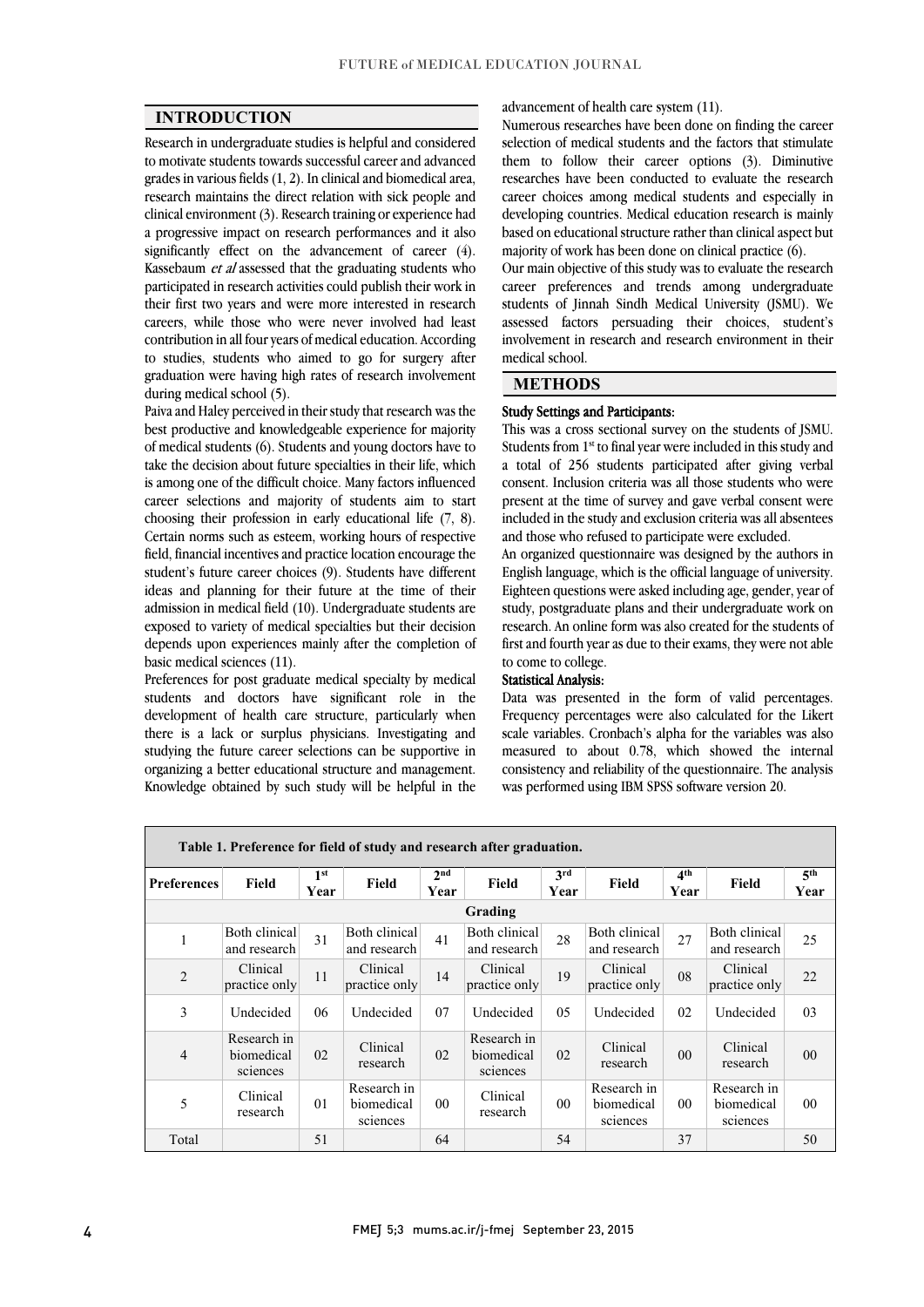$\overline{a}$  $\overline{a}$ 

# INTRODUCTION

 Research in undergraduate studies is helpful and considered to motivate students towards successful career and advanced grades in various netas (1, 2). In either and biomedical area,<br>research maintains the direct relation with sick people and clinical environment (3). Research training or experience had a progressive impact on research performances and it also significantly effect on the advancement of career  $(4)$ . participated in research activities could publish their work in their first two years and were more interested in research careers, while those who were never involved had least contribution in all four years of medical education. According graduation were having high rates of research involvement grades in various fields (1, 2). In clinical and biomedical area, Kassebaum et al assessed that the graduating students who to studies, students who aimed to go for surgery after during medical school (5).

 Paiva and Haley perceived in their study that research was the best productive and knowledgeable experience for majority<br>of modical students (6). Students and vouce dectage have to take the decision about future specialties in their life, which is among one of the difficult choice. Many factors influenced career selections and majority of students aim to start Croosing their profession in early concational life  $(7, 6)$ .<br>Certain norms such as esteem, working hours of respective field, financial incentives and practice location encourage the student's future career choices (9). Students have different ideas and planning for their future at the time of their exposed to variety of medical specialties but their decision depends upon experiences mainly after the completion of of medical students (6). Students and young doctors have to choosing their profession in early educational life (7, 8). admission in medical field (10). Undergraduate students are basic medical sciences (11).

 Preferences for post graduate medical specialty by medical development of health care structure, particularly when there is a lack or surplus physicians. Investigating and studying the future career selections can be supportive in organizing a better educational structure and management. Knowledge obtained by such study will be helpful in the students and doctors have significant role in the

advancement of health care system (11).

 Numerous researches have been done on finding the career selection of medical students and the factors that stimulate them to follow their career options (3). Diminutive career choices among medical students and especially in developing countries. Medical education research is mainly based on educational structure rather than clinical aspect but researches have been conducted to evaluate the research majority of work has been done on clinical practice (6).

majority of work has been done on clinical practice (0).<br>Our main objective of this study was to evaluate the research career preferences and trends among undergraduate students of Jinnah Sindh Medical University (JSMU). We assessed factors persuading their choices, student's involvement in research and research environment in their  $\overline{a}$ medical school.

l

# **METHODS**

#### Study Settings and Participants:

 $\overline{a}$  Students from 1st to final year were included in this study and a total of 256 students participated after giving verbal consent. Inclusion criteria was all those students who were present at the time of survey and gave verbal consent were included in the study and exclusion criteria was all absentees This was a cross sectional survey on the students of JSMU. and those who refused to participate were excluded.

 An organized questionnaire was designed by the authors in English language, which is the official language of university. Eighteen questions were asked including age, gender, year of research. An online form was also created for the students of first and fourth year as due to their exams, they were not able study, postgraduate plans and their undergraduate work on to come to college.

#### Statistical Analysis:

**Blausucal Analysis:**<br>Data was presented in the form of valid percentages. Frequency percentages were also calculated for the Likert scale variables. Cronbach's alpha for the variables was also measured to about 0.78, which showed the internal consistency and reliability of the questionnaire. The analysis<br>ruse netformed using IBM SBS as fixeds version 20 was performed using IBM SPSS software version 20.

| Table 1. Preference for field of study and research after graduation. |                                       |                         |                                       |                         |                                       |                |                                       |                         |                                       |                         |
|-----------------------------------------------------------------------|---------------------------------------|-------------------------|---------------------------------------|-------------------------|---------------------------------------|----------------|---------------------------------------|-------------------------|---------------------------------------|-------------------------|
| <b>Preferences</b>                                                    | Field                                 | 1 <sup>st</sup><br>Year | Field                                 | 2 <sub>nd</sub><br>Year | Field                                 | 3rd<br>Year    | Field                                 | 4 <sup>th</sup><br>Year | <b>Field</b>                          | 5 <sup>th</sup><br>Year |
| Grading                                                               |                                       |                         |                                       |                         |                                       |                |                                       |                         |                                       |                         |
| 1                                                                     | Both clinical<br>and research         | 31                      | Both clinical<br>and research         | 41                      | Both clinical<br>and research         | 28             | Both clinical<br>and research         | 27                      | Both clinical<br>and research         | 25                      |
| $\overline{2}$                                                        | Clinical<br>practice only             | 11                      | Clinical<br>practice only             | 14                      | Clinical<br>practice only             | 19             | Clinical<br>practice only             | 08                      | Clinical<br>practice only             | 22                      |
| 3                                                                     | Undecided                             | 06                      | Undecided                             | 07                      | Undecided                             | 0.5            | Undecided                             | 02                      | Undecided                             | 03                      |
| $\overline{4}$                                                        | Research in<br>biomedical<br>sciences | 02                      | Clinical<br>research                  | 02                      | Research in<br>biomedical<br>sciences | 02             | Clinical<br>research                  | 0 <sub>0</sub>          | Clinical<br>research                  | 00                      |
| 5                                                                     | Clinical<br>research                  | 0 <sub>1</sub>          | Research in<br>biomedical<br>sciences | 00 <sup>0</sup>         | Clinical<br>research                  | 0 <sub>0</sub> | Research in<br>biomedical<br>sciences | 0 <sub>0</sub>          | Research in<br>biomedical<br>sciences | 00                      |
| Total                                                                 |                                       | 51                      |                                       | 64                      |                                       | 54             |                                       | 37                      |                                       | 50                      |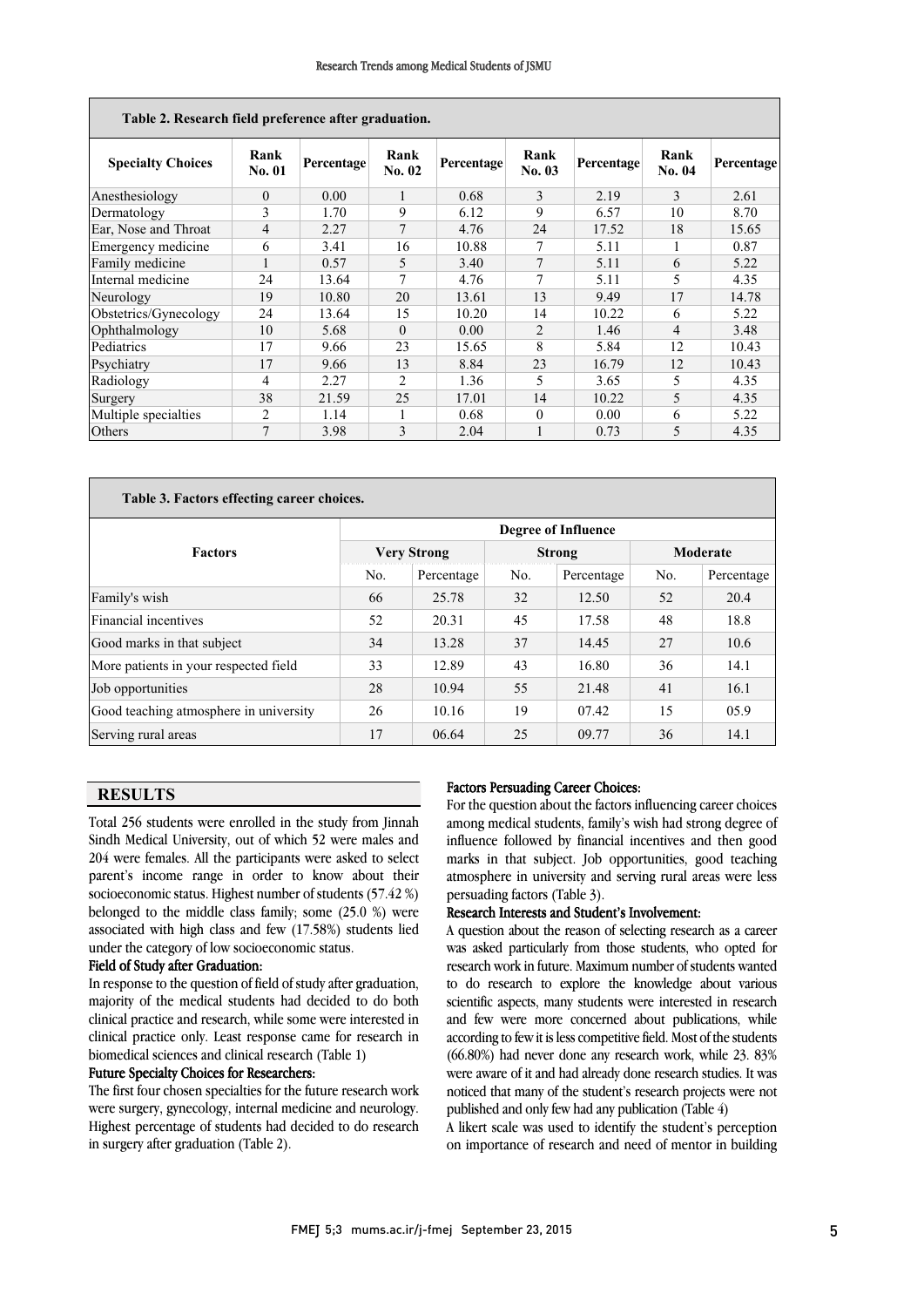| Table 2. Research field preference after graduation. |                |            |                |            |                |            |                |                   |
|------------------------------------------------------|----------------|------------|----------------|------------|----------------|------------|----------------|-------------------|
| <b>Specialty Choices</b>                             | Rank<br>No. 01 | Percentage | Rank<br>No. 02 | Percentage | Rank<br>No. 03 | Percentage | Rank<br>No. 04 | <b>Percentage</b> |
| Anesthesiology                                       | $\theta$       | 0.00       | Ι.             | 0.68       | 3              | 2.19       | 3              | 2.61              |
| Dermatology                                          | 3              | 1.70       | 9              | 6.12       | 9              | 6.57       | 10             | 8.70              |
| Ear, Nose and Throat                                 | 4              | 2.27       | 7              | 4.76       | 24             | 17.52      | 18             | 15.65             |
| Emergency medicine                                   | 6              | 3.41       | 16             | 10.88      | 7              | 5.11       |                | 0.87              |
| Family medicine                                      |                | 0.57       | 5              | 3.40       | 7              | 5.11       | 6              | 5.22              |
| Internal medicine                                    | 24             | 13.64      | 7              | 4.76       | 7              | 5.11       | 5              | 4.35              |
| Neurology                                            | 19             | 10.80      | 20             | 13.61      | 13             | 9.49       | 17             | 14.78             |
| Obstetrics/Gynecology                                | 24             | 13.64      | 15             | 10.20      | 14             | 10.22      | 6              | 5.22              |
| Ophthalmology                                        | 10             | 5.68       | $\theta$       | 0.00       | 2              | 1.46       | $\overline{4}$ | 3.48              |
| Pediatrics                                           | 17             | 9.66       | 23             | 15.65      | 8              | 5.84       | 12             | 10.43             |
| Psychiatry                                           | 17             | 9.66       | 13             | 8.84       | 23             | 16.79      | 12             | 10.43             |
| Radiology                                            | 4              | 2.27       | $\overline{c}$ | 1.36       | 5              | 3.65       | 5              | 4.35              |
| Surgery                                              | 38             | 21.59      | 25             | 17.01      | 14             | 10.22      | 5              | 4.35              |
| Multiple specialties                                 | $\overline{2}$ | 1.14       |                | 0.68       | $\theta$       | 0.00       | 6              | 5.22              |
| Others                                               | 7              | 3.98       | 3              | 2.04       |                | 0.73       | 5              | 4.35              |

| Table 3. Factors effecting career choices. |                            |            |                |               |          |            |  |  |
|--------------------------------------------|----------------------------|------------|----------------|---------------|----------|------------|--|--|
|                                            | <b>Degree of Influence</b> |            |                |               |          |            |  |  |
| <b>Factors</b>                             | <b>Very Strong</b>         |            |                | <b>Strong</b> | Moderate |            |  |  |
|                                            | No.                        | Percentage | N <sub>0</sub> | Percentage    | No.      | Percentage |  |  |
| Family's wish                              | 66                         | 25.78      | 32             | 12.50         | 52       | 20.4       |  |  |
| Financial incentives                       | 52                         | 20.31      | 45             | 17.58         | 48       | 18.8       |  |  |
| Good marks in that subject                 | 34                         | 13.28      | 37             | 14.45         | 27       | 10.6       |  |  |
| More patients in your respected field      | 33                         | 12.89      | 43             | 16.80         | 36       | 14.1       |  |  |
| Job opportunities                          | 28                         | 10.94      | 55             | 21.48         | 41       | 16.1       |  |  |
| Good teaching atmosphere in university     | 26                         | 10.16      | 19             | 07.42         | 15       | 05.9       |  |  |
| Serving rural areas                        | 17                         | 06.64      | 25             | 09.77         | 36       | 14.1       |  |  |

 $\overline{a}$  $\overline{a}$ 

# RESULTS

 Total 256 students were enrolled in the study from Jinnah Sindh Medical University, out of which 52 were males and parent's income range in order to know about their socioeconomic status. Highest number of students (57.42 %) belonged to the middle class family; some (25.0 %) were associated with high class and few (17.58%) students lied 204 were females. All the participants were asked to select under the category of low socioeconomic status.

## Field of Study after Graduation:

 In response to the question of field of study after graduation, majority of the medical students had decided to do both clinical practice and research, while some were interested in clinical practice only. Least response came for research in<br>biomedical sciences and clinical research (Table 1) biomedical sciences and clinical research (Table 1)

## Future Specialty Choices for Researchers:

 The first four chosen specialties for the future research work were surgery, gynecology, internal medicine and neurology. Highest percentage of students had decided to do research<br>in surgery after graduation (Table 2) in surgery after graduation (Table 2).

## Factors Persuading Career Choices:

For the question about the factors influencing career choices among medical students, family's wish had strong degree of influence followed by financial incentives and then good atmosphere in university and serving rural areas were less marks in that subject. Job opportunities, good teaching persuading factors (Table 3).

# Research Interests and Student's Involvement:

 A question about the reason of selecting research as a career was asked particularly from those students, who opted tor research work in future. Maximum number of students wanted to do research to explore the knowledge about various scientific aspects, many students were interested in research and few were more concerned about publications, while (66.80%) had never done any research work, while 23. 83% were aware of it and had already done research studies. It was noticed that many of the student's research projects were not was asked particularly from those students, who opted for according to few it is less competitive field. Most of the students published and only few had any publication (Table 4)

published and only lew had any publication (Table 4)<br>A likert scale was used to identify the student's perception on importance of research and need of mentor in building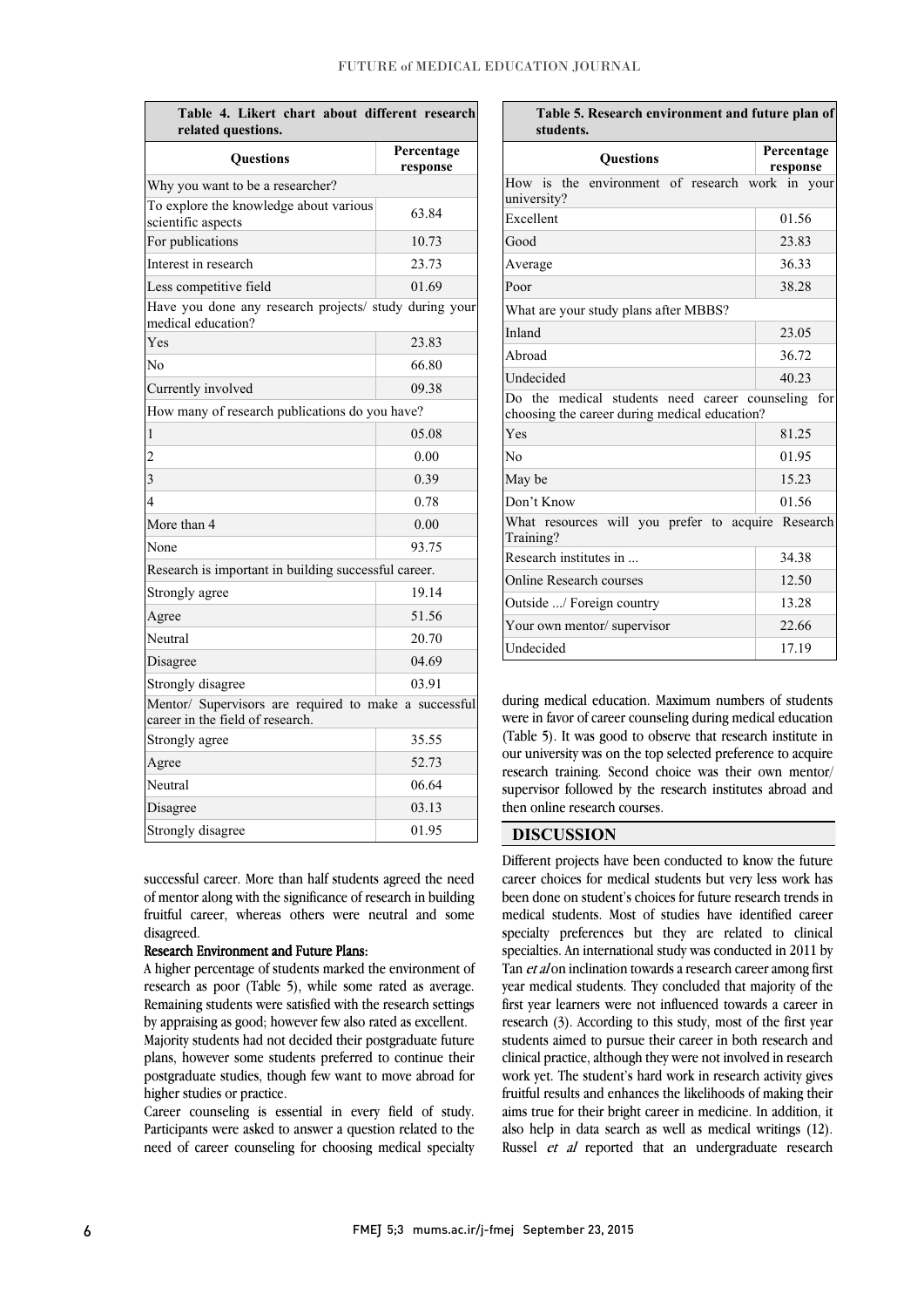## FUTURE of MEDICAL EDUCATION JOURNAL

| Table 4. Likert chart about different research<br>related questions.                      |                        |  |  |  |  |  |  |
|-------------------------------------------------------------------------------------------|------------------------|--|--|--|--|--|--|
| <b>Ouestions</b>                                                                          | Percentage<br>response |  |  |  |  |  |  |
| Why you want to be a researcher?                                                          |                        |  |  |  |  |  |  |
| To explore the knowledge about various<br>scientific aspects                              | 63.84                  |  |  |  |  |  |  |
| For publications                                                                          | 10.73                  |  |  |  |  |  |  |
| Interest in research                                                                      | 23.73                  |  |  |  |  |  |  |
| Less competitive field                                                                    | 01.69                  |  |  |  |  |  |  |
| Have you done any research projects/ study during your<br>medical education?              |                        |  |  |  |  |  |  |
| Yes                                                                                       | 23.83                  |  |  |  |  |  |  |
| N <sub>0</sub>                                                                            | 66.80                  |  |  |  |  |  |  |
| Currently involved                                                                        | 09.38                  |  |  |  |  |  |  |
| How many of research publications do you have?                                            |                        |  |  |  |  |  |  |
| 1                                                                                         | 05.08                  |  |  |  |  |  |  |
| $\overline{c}$                                                                            | 0.00                   |  |  |  |  |  |  |
| 3                                                                                         | 0.39                   |  |  |  |  |  |  |
| 4                                                                                         | 0.78                   |  |  |  |  |  |  |
| More than 4                                                                               | 0.00                   |  |  |  |  |  |  |
| None                                                                                      | 93.75                  |  |  |  |  |  |  |
| Research is important in building successful career.                                      |                        |  |  |  |  |  |  |
| Strongly agree                                                                            | 19.14                  |  |  |  |  |  |  |
| Agree                                                                                     | 51.56                  |  |  |  |  |  |  |
| Neutral                                                                                   | 20.70                  |  |  |  |  |  |  |
| Disagree                                                                                  | 04.69                  |  |  |  |  |  |  |
| Strongly disagree                                                                         | 03.91                  |  |  |  |  |  |  |
| Mentor/ Supervisors are required to make a successful<br>career in the field of research. |                        |  |  |  |  |  |  |
| Strongly agree                                                                            | 35.55                  |  |  |  |  |  |  |
| Agree                                                                                     | 52.73                  |  |  |  |  |  |  |
| Neutral                                                                                   | 06.64                  |  |  |  |  |  |  |
| Disagree                                                                                  | 03.13                  |  |  |  |  |  |  |
| Strongly disagree                                                                         | 01.95                  |  |  |  |  |  |  |

 successful career. More than half students agreed the need of mentor along with the significance of research in building fruitful career, whereas others were neutral and some disagreed.

# Research Environment and Future Plans:

**Research Environment and Future Plans:**<br>A higher percentage of students marked the environment of research as poor (Table 5), while some rated as average. Remaining students were satisfied with the research settings by appraising as good; however few also rated as excellent.

 Majority students had not decided their postgraduate future postgraduate studies, though few want to move abroad for plans, however some students preferred to continue their higher studies or practice.

 Career counseling is essential in every field of study. .<br>. need of career counseling for choosing medical specialty Participants were asked to answer a question related to the

| Table 5. Research environment and future plan of<br>students.                                       |                        |  |  |  |
|-----------------------------------------------------------------------------------------------------|------------------------|--|--|--|
| <b>Ouestions</b>                                                                                    | Percentage<br>response |  |  |  |
| How is the environment of research work in your<br>university?                                      |                        |  |  |  |
| Excellent                                                                                           | 01.56                  |  |  |  |
| Good                                                                                                | 23.83                  |  |  |  |
| Average                                                                                             | 36.33                  |  |  |  |
| Poor                                                                                                | 38.28                  |  |  |  |
| What are your study plans after MBBS?                                                               |                        |  |  |  |
| Inland                                                                                              | 23.05                  |  |  |  |
| Abroad                                                                                              | 36.72                  |  |  |  |
| Undecided                                                                                           | 40.23                  |  |  |  |
| Do the medical students need career counseling for<br>choosing the career during medical education? |                        |  |  |  |
| Yes                                                                                                 | 81.25                  |  |  |  |
| No                                                                                                  | 01.95                  |  |  |  |
| May be                                                                                              | 15.23                  |  |  |  |
| Don't Know                                                                                          | 01.56                  |  |  |  |
| What resources will you prefer to acquire Research<br>Training?                                     |                        |  |  |  |
| Research institutes in                                                                              | 34.38                  |  |  |  |
| <b>Online Research courses</b>                                                                      | 12.50                  |  |  |  |
| Outside / Foreign country                                                                           | 13.28                  |  |  |  |
| Your own mentor/ supervisor                                                                         | 22.66                  |  |  |  |
| Undecided                                                                                           | 17.19                  |  |  |  |

 during medical education. Maximum numbers of students (Table 5). It was good to observe that research institute in our university was on the top selected preference to acquire research training. Second choice was their own mentor/ supervisor followed by the research institutes abroad and then online recented courses. 1 were in favor of career counseling during medical education then online research courses.

l

## DISCUSSION

 Different projects have been conducted to know the future been done on student's choices for future research trends in medical students. Most of studies have identified career specialty preferences but they are related to clinical specialties. An international study was conducted in 2011 by year medical students. They concluded that majority of the first year learners were not influenced towards a career in research (3). According to this study, most of the first year students aimed to pursue their career in both research and work yet. The student's hard work in research activity gives fruitful results and enhances the likelihoods of making their aims true for their bright career in medicine. In addition, it also help in data search as well as inedical whilings (12).<br>Russel *et al* reported that an undergraduate research career choices for medical students but very less work has Tan *et al* on inclination towards a research career among first clinical practice, although they were not involved in research also help in data search as well as medical writings (12).